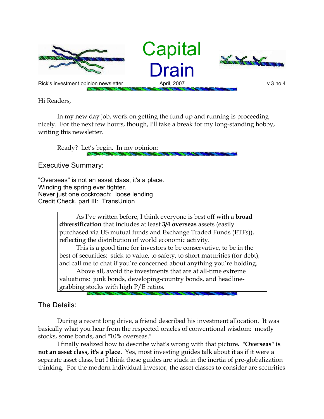

Hi Readers,

In my new day job, work on getting the fund up and running is proceeding nicely. For the next few hours, though, I'll take a break for my long-standing hobby, writing this newsletter.

Ready? Let's begin. In my opinion:

Executive Summary:

"Overseas" is not an asset class, it's a place. Winding the spring ever tighter. Never just one cockroach: loose lending Credit Check, part III: TransUnion

> As I've written before, I think everyone is best off with a **broad diversification** that includes at least **3/4 overseas** assets (easily purchased via US mutual funds and Exchange Traded Funds (ETFs)), reflecting the distribution of world economic activity.

This is a good time for investors to be conservative, to be in the best of securities: stick to value, to safety, to short maturities (for debt), and call me to chat if you're concerned about anything you're holding.

Above all, avoid the investments that are at all-time extreme valuations: junk bonds, developing-country bonds, and headlinegrabbing stocks with high P/E ratios.

## The Details:

During a recent long drive, a friend described his investment allocation. It was basically what you hear from the respected oracles of conventional wisdom: mostly stocks, some bonds, and "10% overseas."

I finally realized how to describe what's wrong with that picture**. "Overseas" is not an asset class, it's a place.** Yes, most investing guides talk about it as if it were a separate asset class, but I think those guides are stuck in the inertia of pre-globalization thinking. For the modern individual investor, the asset classes to consider are securities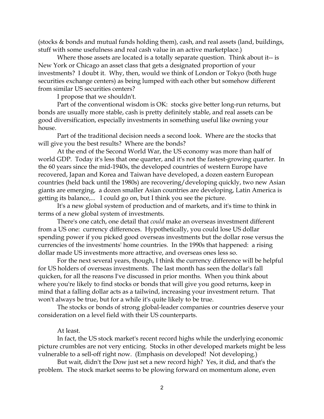(stocks & bonds and mutual funds holding them), cash, and real assets (land, buildings, stuff with some usefulness and real cash value in an active marketplace.)

Where those assets are located is a totally separate question. Think about it-- is New York or Chicago an asset class that gets a designated proportion of your investments? I doubt it. Why, then, would we think of London or Tokyo (both huge securities exchange centers) as being lumped with each other but somehow different from similar US securities centers?

I propose that we shouldn't.

Part of the conventional wisdom is OK: stocks give better long-run returns, but bonds are usually more stable, cash is pretty definitely stable, and real assets can be good diversification, especially investments in something useful like owning your house.

Part of the traditional decision needs a second look. Where are the stocks that will give you the best results? Where are the bonds?

At the end of the Second World War, the US economy was more than half of world GDP. Today it's less that one quarter, and it's not the fastest-growing quarter. In the 60 years since the mid-1940s, the developed countries of western Europe have recovered, Japan and Korea and Taiwan have developed, a dozen eastern European countries (held back until the 1980s) are recovering/developing quickly, two new Asian giants are emerging, a dozen smaller Asian countries are developing, Latin America is getting its balance,... I could go on, but I think you see the picture.

It's a new global system of production and of markets, and it's time to think in terms of a new global system of investments.

There's one catch, one detail that *could* make an overseas investment different from a US one: currency differences. Hypothetically, you could lose US dollar spending power if you picked good overseas investments but the dollar rose versus the currencies of the investments' home countries. In the 1990s that happened: a rising dollar made US investments more attractive, and overseas ones less so.

For the next several years, though, I think the currency difference will be helpful for US holders of overseas investments. The last month has seen the dollar's fall quicken, for all the reasons I've discussed in prior months. When you think about where you're likely to find stocks or bonds that will give you good returns, keep in mind that a falling dollar acts as a tailwind, increasing your investment return. That won't always be true, but for a while it's quite likely to be true.

The stocks or bonds of strong global-leader companies or countries deserve your consideration on a level field with their US counterparts.

## At least.

In fact, the US stock market's recent record highs while the underlying economic picture crumbles are not very enticing. Stocks in other developed markets might be less vulnerable to a sell-off right now. (Emphasis on developed! Not developing.)

But wait, didn't the Dow just set a new record high? Yes, it did, and that's the problem. The stock market seems to be plowing forward on momentum alone, even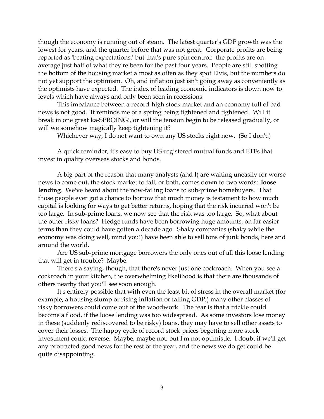though the economy is running out of steam. The latest quarter's GDP growth was the lowest for years, and the quarter before that was not great. Corporate profits are being reported as 'beating expectations,' but that's pure spin control: the profits are on average just half of what they're been for the past four years. People are still spotting the bottom of the housing market almost as often as they spot Elvis, but the numbers do not yet support the optimism. Oh, and inflation just isn't going away as conveniently as the optimists have expected. The index of leading economic indicators is down now to levels which have always and only been seen in recessions.

This imbalance between a record-high stock market and an economy full of bad news is not good. It reminds me of a spring being tightened and tightened. Will it break in one great ka-SPROING!, or will the tension begin to be released gradually, or will we somehow magically keep tightening it?

Whichever way, I do not want to own any US stocks right now. (So I don't.)

A quick reminder, it's easy to buy US-registered mutual funds and ETFs that invest in quality overseas stocks and bonds.

A big part of the reason that many analysts (and I) are waiting uneasily for worse news to come out, the stock market to fall, or both, comes down to two words: **loose lending**. We've heard about the now-failing loans to sub-prime homebuyers. That those people ever got a chance to borrow that much money is testament to how much capital is looking for ways to get better returns, hoping that the risk incurred won't be too large. In sub-prime loans, we now see that the risk was too large. So, what about the other risky loans? Hedge funds have been borrowing huge amounts, on far easier terms than they could have gotten a decade ago. Shaky companies (shaky while the economy was doing well, mind you!) have been able to sell tons of junk bonds, here and around the world.

Are US sub-prime mortgage borrowers the only ones out of all this loose lending that will get in trouble? Maybe.

There's a saying, though, that there's never just one cockroach. When you see a cockroach in your kitchen, the overwhelming likelihood is that there are thousands of others nearby that you'll see soon enough.

It's entirely possible that with even the least bit of stress in the overall market (for example, a housing slump or rising inflation or falling GDP,) many other classes of risky borrowers could come out of the woodwork. The fear is that a trickle could become a flood, if the loose lending was too widespread. As some investors lose money in these (suddenly rediscovered to be risky) loans, they may have to sell other assets to cover their losses. The happy cycle of record stock prices begetting more stock investment could reverse. Maybe, maybe not, but I'm not optimistic. I doubt if we'll get any protracted good news for the rest of the year, and the news we do get could be quite disappointing.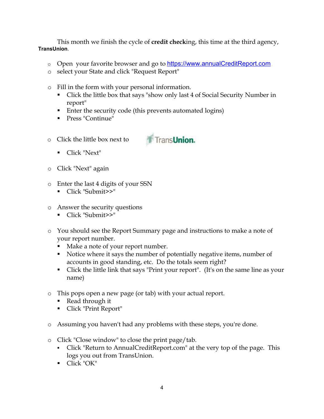This month we finish the cycle of **credit check**ing, this time at the third agency, **TransUnion**.

- o Open your favorite browser and go to https://www.annualCreditReport.com
- o select your State and click "Request Report"
- o Fill in the form with your personal information.
	- Click the little box that says "show only last 4 of Social Security Number in report"
	- Enter the security code (this prevents automated logins)
	- Press "Continue"
- o Click the little box next to



- Click "Next"
- o Click "Next" again
- o Enter the last 4 digits of your SSN
	- Click "Submit>>"
- o Answer the security questions
	- Click "Submit>>"
- o You should see the Report Summary page and instructions to make a note of your report number.
	- Make a note of your report number.
	- Notice where it says the number of potentially negative items, number of accounts in good standing, etc. Do the totals seem right?
	- Click the little link that says "Print your report". (It's on the same line as your name)
- o This pops open a new page (or tab) with your actual report.
	- Read through it
	- Click "Print Report"
- o Assuming you haven't had any problems with these steps, you're done.
- o Click "Close window" to close the print page/tab.
	- Click "Return to AnnualCreditReport.com" at the very top of the page. This logs you out from TransUnion.
	- Click "OK"